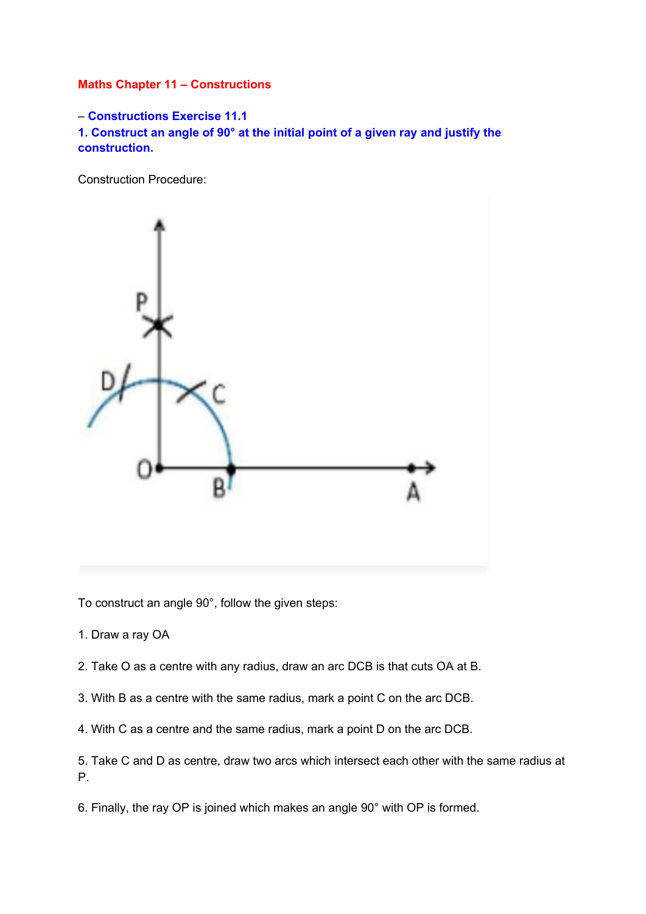## **Maths Chapter 11 – Constructions**

– **Constructions Exercise 11.1 1. Construct an angle of 90° at the initial point of a given ray and justify the construction.**

Construction Procedure:



To construct an angle 90°, follow the given steps:

- 1. Draw a ray OA
- 2. Take O as a centre with any radius, draw an arc DCB is that cuts OA at B.
- 3. With B as a centre with the same radius, mark a point C on the arc DCB.
- 4. With C as a centre and the same radius, mark a point D on the arc DCB.
- 5. Take C and D as centre, draw two arcs which intersect each other with the same radius at P.
- 6. Finally, the ray OP is joined which makes an angle 90° with OP is formed.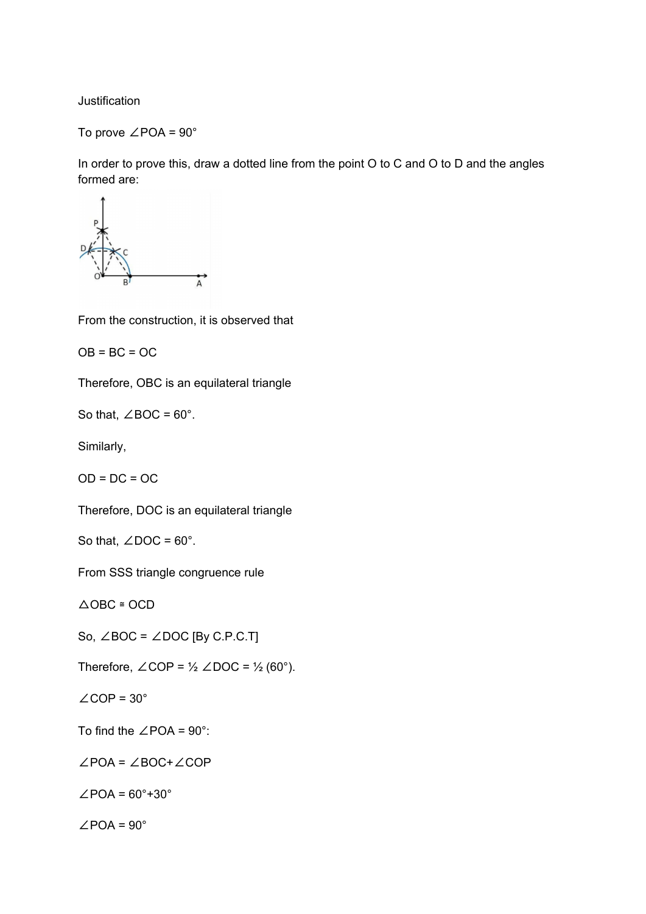**Justification** 

To prove ∠POA = 90°

In order to prove this, draw a dotted line from the point O to C and O to D and the angles formed are:



From the construction, it is observed that

 $OB = BC = OC$ 

Therefore, OBC is an equilateral triangle

So that,  $\angle$ BOC = 60°.

Similarly,

 $OD = DC = OC$ 

Therefore, DOC is an equilateral triangle

So that,  $\angle$ DOC = 60°.

From SSS triangle congruence rule

 $\triangle$ OBC  $\cong$ OCD

So,  $∠BOC = ∠DOC$  [By C.P.C.T]

Therefore,  $\angle$ COP = ½  $\angle$ DOC = ½ (60°).

 $\angle$ COP = 30 $^{\circ}$ 

To find the ∠POA = 90°:

∠POA = ∠BOC+∠COP

 $\angle$ POA = 60°+30°

 $\angle$ POA = 90 $^{\circ}$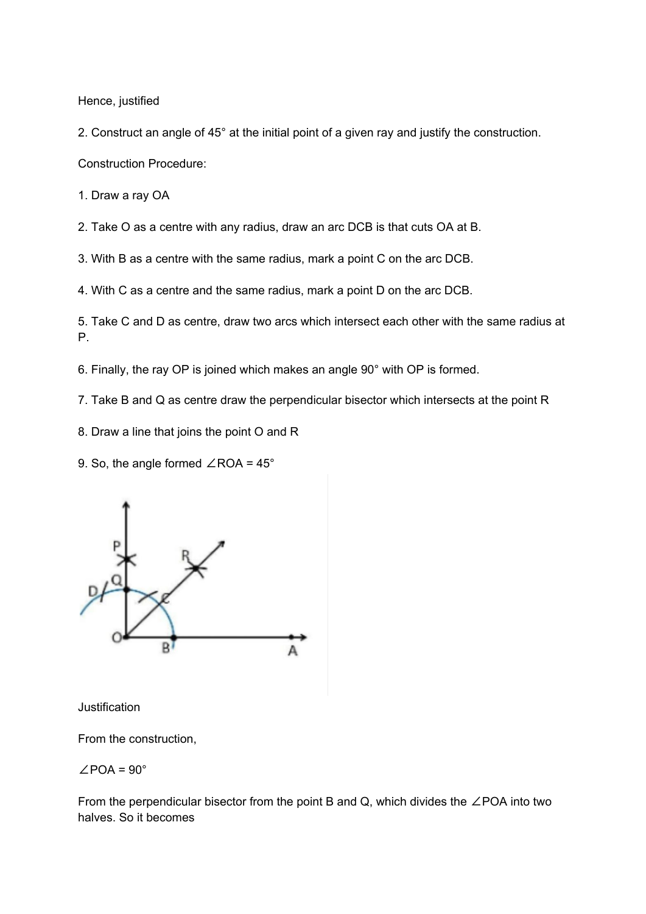Hence, justified

2. Construct an angle of 45° at the initial point of a given ray and justify the construction.

Construction Procedure:

1. Draw a ray OA

2. Take O as a centre with any radius, draw an arc DCB is that cuts OA at B.

3. With B as a centre with the same radius, mark a point C on the arc DCB.

4. With C as a centre and the same radius, mark a point D on the arc DCB.

5. Take C and D as centre, draw two arcs which intersect each other with the same radius at P.

6. Finally, the ray OP is joined which makes an angle 90° with OP is formed.

7. Take B and Q as centre draw the perpendicular bisector which intersects at the point R

8. Draw a line that joins the point O and R

9. So, the angle formed ∠ROA = 45°



**Justification** 

From the construction,

$$
\angle\text{POA}=90^\circ
$$

From the perpendicular bisector from the point B and Q, which divides the ∠POA into two halves. So it becomes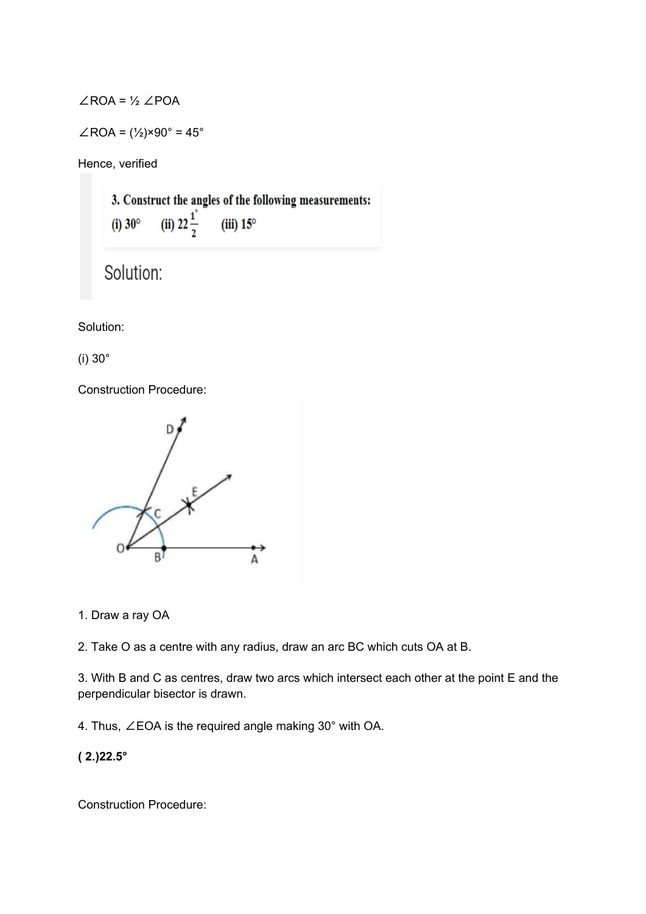$∠ROA = ½ ∠POA$ 

$$
\angle \text{ROA} = (\frac{1}{2}) \times 90^{\circ} = 45^{\circ}
$$

Hence, verified

3. Construct the angles of the following measurements: (ii)  $22\frac{1}{2}$  $(iii) 15^\circ$  $(i)$  30 $^{\circ}$ 

```
Solution:
```
Solution:

(i) 30°

Construction Procedure:



1. Draw a ray OA

2. Take O as a centre with any radius, draw an arc BC which cuts OA at B.

3. With B and C as centres, draw two arcs which intersect each other at the point E and the perpendicular bisector is drawn.

4. Thus, ∠EOA is the required angle making 30° with OA.

**( 2.)22.5°**

Construction Procedure: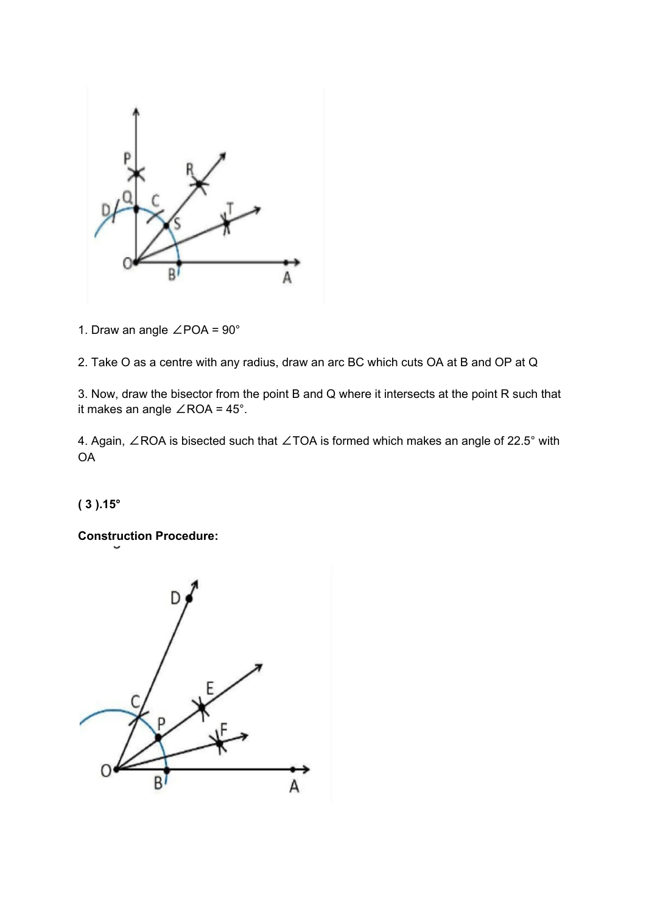

1. Draw an angle ∠POA = 90°

2. Take O as a centre with any radius, draw an arc BC which cuts OA at B and OP at Q

3. Now, draw the bisector from the point B and Q where it intersects at the point R such that it makes an angle ∠ROA = 45°.

4. Again, ∠ROA is bisected such that ∠TOA is formed which makes an angle of 22.5° with OA

**( 3 ).15°**

**Construction Procedure:**